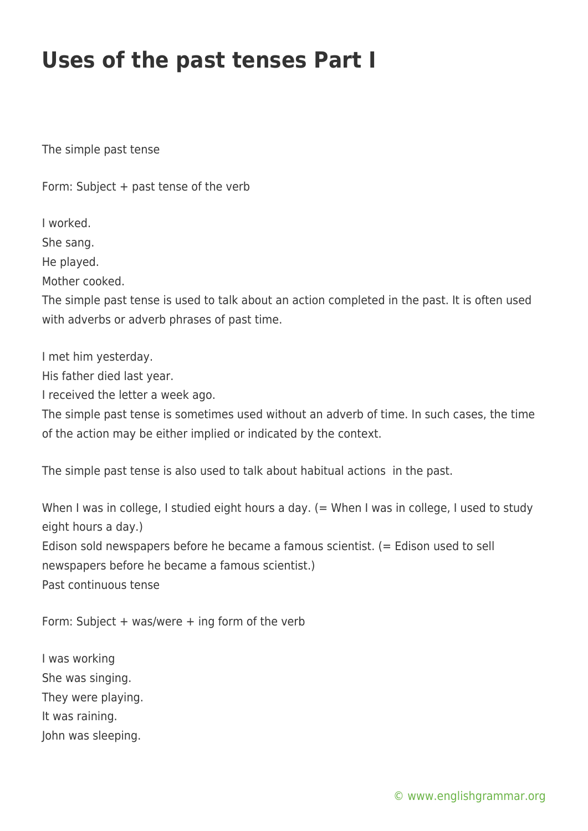## **Uses of the past tenses Part I**

The simple past tense

Form: Subject + past tense of the verb

I worked.

She sang.

He played.

Mother cooked.

The simple past tense is used to talk about an action completed in the past. It is often used with adverbs or adverb phrases of past time.

I met him yesterday.

His father died last year.

I received the letter a week ago.

The simple past tense is sometimes used without an adverb of time. In such cases, the time of the action may be either implied or indicated by the context.

The simple past tense is also used to talk about habitual actions in the past.

When I was in college, I studied eight hours a day. (= When I was in college, I used to study eight hours a day.) Edison sold newspapers before he became a famous scientist. (= Edison used to sell newspapers before he became a famous scientist.) Past continuous tense

Form: Subject + was/were + ing form of the verb

I was working She was singing. They were playing. It was raining. John was sleeping.